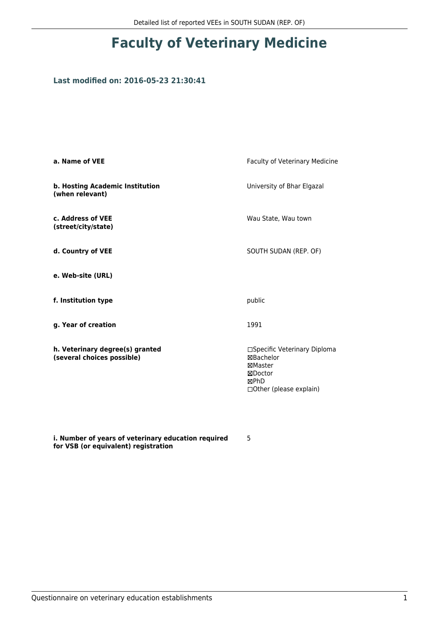## **Faculty of Veterinary Medicine**

## **Last modified on: 2016-05-23 21:30:41**

| a. Name of VEE                                                | Faculty of Veterinary Medicine                                                                                  |
|---------------------------------------------------------------|-----------------------------------------------------------------------------------------------------------------|
| b. Hosting Academic Institution<br>(when relevant)            | University of Bhar Elgazal                                                                                      |
| c. Address of VEE<br>(street/city/state)                      | Wau State, Wau town                                                                                             |
| d. Country of VEE                                             | SOUTH SUDAN (REP. OF)                                                                                           |
| e. Web-site (URL)                                             |                                                                                                                 |
| f. Institution type                                           | public                                                                                                          |
| g. Year of creation                                           | 1991                                                                                                            |
| h. Veterinary degree(s) granted<br>(several choices possible) | □Specific Veterinary Diploma<br><b>⊠Bachelor</b><br>⊠Master<br>⊠Doctor<br>⊠PhD<br>$\Box$ Other (please explain) |

**i. Number of years of veterinary education required for VSB (or equivalent) registration**

5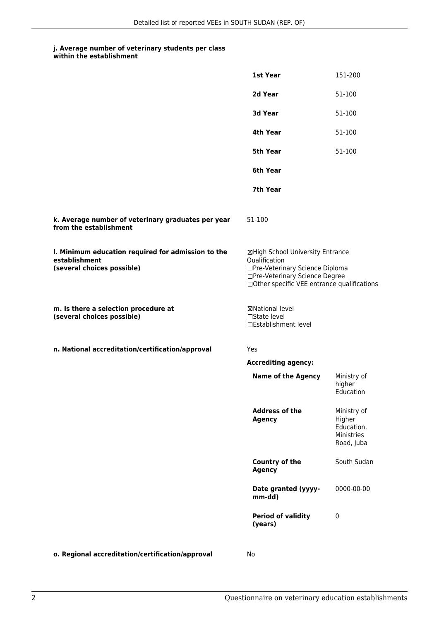#### **j. Average number of veterinary students per class within the establishment**

|                                                                                                   | 1st Year                                                                                                                                                              | 151-200                                                         |
|---------------------------------------------------------------------------------------------------|-----------------------------------------------------------------------------------------------------------------------------------------------------------------------|-----------------------------------------------------------------|
|                                                                                                   | 2d Year                                                                                                                                                               | 51-100                                                          |
|                                                                                                   | 3d Year                                                                                                                                                               | 51-100                                                          |
|                                                                                                   | 4th Year                                                                                                                                                              | 51-100                                                          |
|                                                                                                   | <b>5th Year</b>                                                                                                                                                       | 51-100                                                          |
|                                                                                                   | 6th Year                                                                                                                                                              |                                                                 |
|                                                                                                   | 7th Year                                                                                                                                                              |                                                                 |
| k. Average number of veterinary graduates per year<br>from the establishment                      | 51-100                                                                                                                                                                |                                                                 |
| I. Minimum education required for admission to the<br>establishment<br>(several choices possible) | ⊠High School University Entrance<br>Qualification<br>□Pre-Veterinary Science Diploma<br>□Pre-Veterinary Science Degree<br>□Other specific VEE entrance qualifications |                                                                 |
| m. Is there a selection procedure at<br>(several choices possible)                                | ⊠National level<br>□State level<br>□Establishment level                                                                                                               |                                                                 |
| n. National accreditation/certification/approval                                                  | Yes                                                                                                                                                                   |                                                                 |
|                                                                                                   | <b>Accrediting agency:</b>                                                                                                                                            |                                                                 |
|                                                                                                   | <b>Name of the Agency</b>                                                                                                                                             | Ministry of<br>higher<br>Education                              |
|                                                                                                   | <b>Address of the</b><br><b>Agency</b>                                                                                                                                | Ministry of<br>Higher<br>Education,<br>Ministries<br>Road, Juba |
|                                                                                                   | Country of the<br><b>Agency</b>                                                                                                                                       | South Sudan                                                     |
|                                                                                                   | Date granted (yyyy-<br>mm-dd)                                                                                                                                         | 0000-00-00                                                      |
|                                                                                                   | <b>Period of validity</b><br>(years)                                                                                                                                  | 0                                                               |
|                                                                                                   |                                                                                                                                                                       |                                                                 |

**o. Regional accreditation/certification/approval** No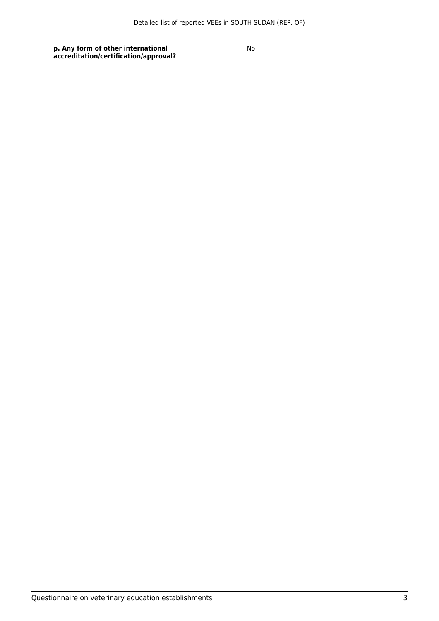**p. Any form of other international accreditation/certification/approval?** No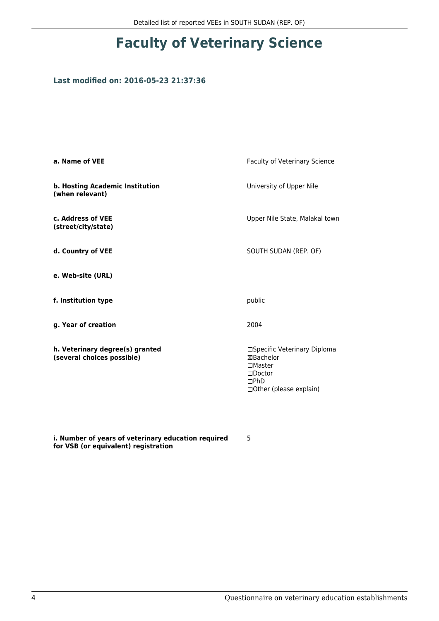# **Faculty of Veterinary Science**

### **Last modified on: 2016-05-23 21:37:36**

| Faculty of Veterinary Science                                                                                      |
|--------------------------------------------------------------------------------------------------------------------|
| University of Upper Nile                                                                                           |
| Upper Nile State, Malakal town                                                                                     |
| SOUTH SUDAN (REP. OF)                                                                                              |
|                                                                                                                    |
| public                                                                                                             |
| 2004                                                                                                               |
| □Specific Veterinary Diploma<br>⊠Bachelor<br>$\Box$ Master<br>$\square$ Doctor<br>DPhD<br>□ Other (please explain) |
|                                                                                                                    |

**i. Number of years of veterinary education required for VSB (or equivalent) registration**

5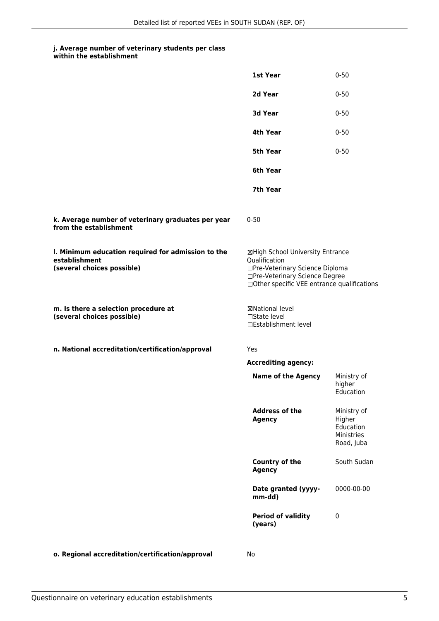#### **j. Average number of veterinary students per class within the establishment**

|                                                                                                   | 1st Year                                                                                                                                                              | $0 - 50$                                                       |
|---------------------------------------------------------------------------------------------------|-----------------------------------------------------------------------------------------------------------------------------------------------------------------------|----------------------------------------------------------------|
|                                                                                                   | 2d Year                                                                                                                                                               | $0 - 50$                                                       |
|                                                                                                   | 3d Year                                                                                                                                                               | $0 - 50$                                                       |
|                                                                                                   | 4th Year                                                                                                                                                              | $0 - 50$                                                       |
|                                                                                                   | 5th Year                                                                                                                                                              | $0 - 50$                                                       |
|                                                                                                   | 6th Year                                                                                                                                                              |                                                                |
|                                                                                                   | 7th Year                                                                                                                                                              |                                                                |
| k. Average number of veterinary graduates per year<br>from the establishment                      | $0 - 50$                                                                                                                                                              |                                                                |
| I. Minimum education required for admission to the<br>establishment<br>(several choices possible) | ⊠High School University Entrance<br>Qualification<br>□Pre-Veterinary Science Diploma<br>□Pre-Veterinary Science Degree<br>□Other specific VEE entrance qualifications |                                                                |
| m. Is there a selection procedure at<br>(several choices possible)                                | ⊠National level<br>$\square$ State level<br>□Establishment level                                                                                                      |                                                                |
| n. National accreditation/certification/approval                                                  | Yes                                                                                                                                                                   |                                                                |
|                                                                                                   | <b>Accrediting agency:</b>                                                                                                                                            |                                                                |
|                                                                                                   | <b>Name of the Agency</b>                                                                                                                                             | Ministry of<br>higher<br>Education                             |
|                                                                                                   | <b>Address of the</b><br><b>Agency</b>                                                                                                                                | Ministry of<br>Higher<br>Education<br>Ministries<br>Road, Juba |
|                                                                                                   | Country of the<br><b>Agency</b>                                                                                                                                       | South Sudan                                                    |
|                                                                                                   | Date granted (yyyy-<br>mm-dd)                                                                                                                                         | 0000-00-00                                                     |
|                                                                                                   | <b>Period of validity</b><br>(years)                                                                                                                                  | 0                                                              |
| o. Regional accreditation/certification/approval                                                  | No                                                                                                                                                                    |                                                                |